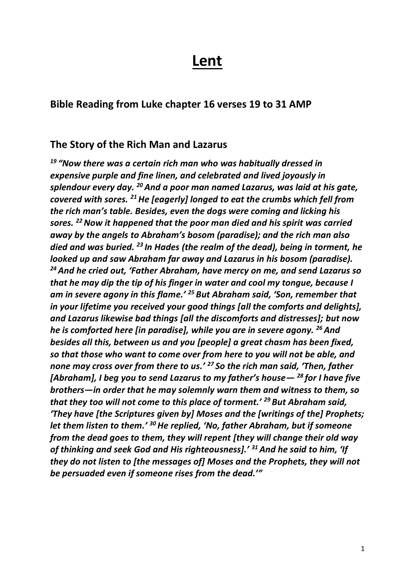# **Lent**

#### **Bible Reading from Luke chapter 16 verses 19 to 31 AMP**

#### **The Story of the Rich Man and Lazarus**

*<sup>19</sup> "Now there was a certain rich man who was habitually dressed in expensive purple and fine linen, and celebrated and lived joyously in splendour every day. <sup>20</sup>And a poor man named Lazarus, was laid at his gate, covered with sores. <sup>21</sup>He [eagerly] longed to eat the crumbs which fell from the rich man's table. Besides, even the dogs were coming and licking his sores. <sup>22</sup>Now it happened that the poor man died and his spirit was carried away by the angels to Abraham's bosom (paradise); and the rich man also died and was buried. <sup>23</sup> In Hades (the realm of the dead), being in torment, he looked up and saw Abraham far away and Lazarus in his bosom (paradise). <sup>24</sup>And he cried out, 'Father Abraham, have mercy on me, and send Lazarus so that he may dip the tip of his finger in water and cool my tongue, because I am in severe agony in this flame.' <sup>25</sup> But Abraham said, 'Son, remember that in your lifetime you received your good things [all the comforts and delights], and Lazarus likewise bad things [all the discomforts and distresses]; but now he is comforted here [in paradise], while you are in severe agony. <sup>26</sup>And besides all this, between us and you [people] a great chasm has been fixed, so that those who want to come over from here to you will not be able, and none may cross over from there to us.' <sup>27</sup> So the rich man said, 'Then, father [Abraham], I beg you to send Lazarus to my father's house— <sup>28</sup> for I have five brothers—in order that he may solemnly warn them and witness to them, so that they too will not come to this place of torment.' <sup>29</sup> But Abraham said, 'They have [the Scriptures given by] Moses and the [writings of the] Prophets; let them listen to them.' <sup>30</sup>He replied, 'No, father Abraham, but if someone from the dead goes to them, they will repent [they will change their old way of thinking and seek God and His righteousness].' <sup>31</sup>And he said to him, 'If they do not listen to [the messages of] Moses and the Prophets, they will not be persuaded even if someone rises from the dead.'"*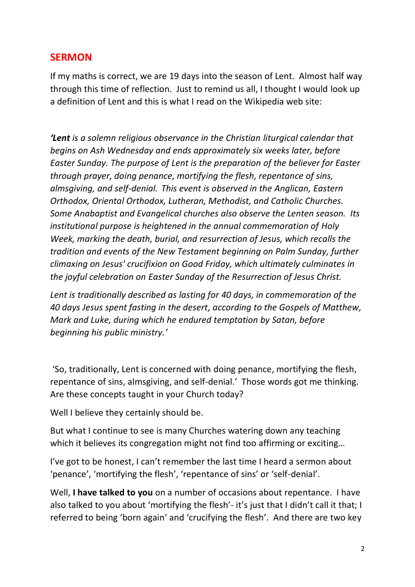### **SERMON**

If my maths is correct, we are 19 days into the season of Lent. Almost half way through this time of reflection. Just to remind us all, I thought I would look up a definition of Lent and this is what I read on the Wikipedia web site:

*'Lent is a solemn religious observance in the Christian [liturgical calendar](https://en.wikipedia.org/wiki/Liturgical_calendar) that begins on [Ash Wednesday](https://en.wikipedia.org/wiki/Ash_Wednesday) and ends approximately six weeks later, before [Easter Sunday.](https://en.wikipedia.org/wiki/Easter) The purpose of Lent is the preparation of the believer for Easter through [prayer,](https://en.wikipedia.org/wiki/Christian_prayer) doing [penance,](https://en.wikipedia.org/wiki/Penance) [mortifying the flesh,](https://en.wikipedia.org/wiki/Mortification_of_the_flesh) [repentance](https://en.wikipedia.org/wiki/Repentance_(theology)) of sins, [almsgiving,](https://en.wikipedia.org/wiki/Almsgiving) and [self-denial.](https://en.wikipedia.org/wiki/Asceticism) This event is observed in the [Anglican,](https://en.wikipedia.org/wiki/Anglican_Communion) [Eastern](https://en.wikipedia.org/wiki/Eastern_Orthodox)  [Orthodox,](https://en.wikipedia.org/wiki/Eastern_Orthodox) [Oriental Orthodox,](https://en.wikipedia.org/wiki/Oriental_Orthodox) [Lutheran,](https://en.wikipedia.org/wiki/Lutheran) [Methodist,](https://en.wikipedia.org/wiki/Methodist) and [Catholic](https://en.wikipedia.org/wiki/Catholic) Churches. Some [Anabaptist](https://en.wikipedia.org/wiki/Anabaptist) and [Evangelical](https://en.wikipedia.org/wiki/Evangelical) churches also observe the Lenten season. Its institutional purpose is heightened in the annual commemoration of [Holy](https://en.wikipedia.org/wiki/Holy_Week)  [Week,](https://en.wikipedia.org/wiki/Holy_Week) marking the death, burial, and [resurrection of Jesus,](https://en.wikipedia.org/wiki/Resurrection_of_Jesus) which recalls the tradition and events of the [New Testament](https://en.wikipedia.org/wiki/New_Testament) beginning on [Palm Sunday,](https://en.wikipedia.org/wiki/Palm_Sunday) further climaxing on Jesus' [crucifixion](https://en.wikipedia.org/wiki/Crucifixion) on [Good Friday,](https://en.wikipedia.org/wiki/Good_Friday) which ultimately culminates in the joyful celebration on [Easter Sunday](https://en.wikipedia.org/wiki/Easter_Sunday) of the [Resurrection of Jesus Christ.](https://en.wikipedia.org/wiki/Resurrection_of_Jesus_Christ)*

*Lent is traditionally described as lasting for 40 days, in commemoration of the [40 days Jesus spent fasting in the desert,](https://en.wikipedia.org/wiki/Temptation_of_Jesus) according to the Gospels of [Matthew,](https://en.wikipedia.org/wiki/Gospel_of_Matthew) [Mark](https://en.wikipedia.org/wiki/Gospel_of_Mark) and [Luke,](https://en.wikipedia.org/wiki/Gospel_of_Luke) during which he endured temptation by [Satan,](https://en.wikipedia.org/wiki/Satan) before beginning his [public ministry.](https://en.wikipedia.org/wiki/Ministry_of_Jesus)'*

'So, traditionally, Lent is concerned with doing [penance,](https://en.wikipedia.org/wiki/Penance) [mortifying the flesh,](https://en.wikipedia.org/wiki/Mortification_of_the_flesh) [repentance](https://en.wikipedia.org/wiki/Repentance_(theology)) of sins, [almsgiving,](https://en.wikipedia.org/wiki/Almsgiving) and [self-denial](https://en.wikipedia.org/wiki/Asceticism).' Those words got me thinking. Are these concepts taught in your Church today?

Well I believe they certainly should be.

But what I continue to see is many Churches watering down any teaching which it believes its congregation might not find too affirming or exciting…

I've got to be honest, I can't remember the last time I heard a sermon about 'penance', 'mortifying the flesh', 'repentance of sins' or 'self-denial'.

Well, **I have talked to you** on a number of occasions about repentance. I have also talked to you about 'mortifying the flesh'- it's just that I didn't call it that; I referred to being 'born again' and 'crucifying the flesh'. And there are two key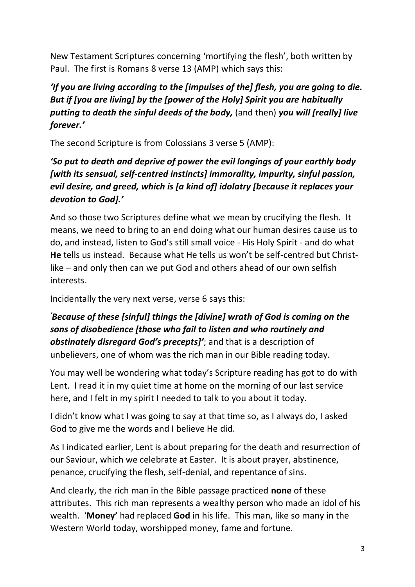New Testament Scriptures concerning 'mortifying the flesh', both written by Paul. The first is Romans 8 verse 13 (AMP) which says this:

## *'If you are living according to the [impulses of the] flesh, you are going to die. But if [you are living] by the [power of the Holy] Spirit you are habitually putting to death the sinful deeds of the body,* (and then) *you will [really] live forever.'*

The second Scripture is from Colossians 3 verse 5 (AMP):

## *'So put to death and deprive of power the evil longings of your earthly body [with its sensual, self-centred instincts] immorality, impurity, sinful passion, evil desire, and greed, which is [a kind of] idolatry [because it replaces your devotion to God].'*

And so those two Scriptures define what we mean by crucifying the flesh. It means, we need to bring to an end doing what our human desires cause us to do, and instead, listen to God's still small voice - His Holy Spirit - and do what **He** tells us instead. Because what He tells us won't be self-centred but Christlike – and only then can we put God and others ahead of our own selfish interests.

Incidentally the very next verse, verse 6 says this:

*'Because of these [sinful] things the [divine] wrath of God is coming on the sons of disobedience [those who fail to listen and who routinely and obstinately disregard God's precepts]'*; and that is a description of unbelievers, one of whom was the rich man in our Bible reading today.

You may well be wondering what today's Scripture reading has got to do with Lent. I read it in my quiet time at home on the morning of our last service here, and I felt in my spirit I needed to talk to you about it today.

I didn't know what I was going to say at that time so, as I always do, I asked God to give me the words and I believe He did.

As I indicated earlier, Lent is about preparing for the death and resurrection of our Saviour, which we celebrate at Easter. It is about prayer, abstinence, penance, crucifying the flesh, self-denial, and repentance of sins.

And clearly, the rich man in the Bible passage practiced **none** of these attributes. This rich man represents a wealthy person who made an idol of his wealth. '**Money'** had replaced **God** in his life. This man, like so many in the Western World today, worshipped money, fame and fortune.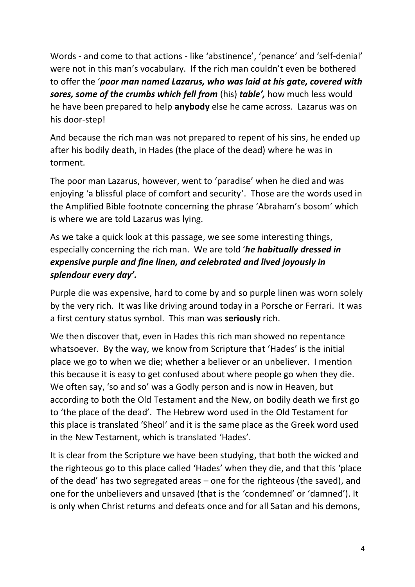Words - and come to that actions - like 'abstinence', 'penance' and 'self-denial' were not in this man's vocabulary. If the rich man couldn't even be bothered to offer the '*poor man named Lazarus, who was laid at his gate, covered with sores, some of the crumbs which fell from* (his) *table',* how much less would he have been prepared to help **anybody** else he came across. Lazarus was on his door-step!

And because the rich man was not prepared to repent of his sins, he ended up after his bodily death, in Hades (the place of the dead) where he was in torment.

The poor man Lazarus, however, went to 'paradise' when he died and was enjoying 'a blissful place of comfort and security'. Those are the words used in the Amplified Bible footnote concerning the phrase 'Abraham's bosom' which is where we are told Lazarus was lying.

As we take a quick look at this passage, we see some interesting things, especially concerning the rich man. We are told '*he habitually dressed in expensive purple and fine linen, and celebrated and lived joyously in splendour every day'.* 

Purple die was expensive, hard to come by and so purple linen was worn solely by the very rich. It was like driving around today in a Porsche or Ferrari. It was a first century status symbol. This man was **seriously** rich.

We then discover that, even in Hades this rich man showed no repentance whatsoever. By the way, we know from Scripture that 'Hades' is the initial place we go to when we die; whether a believer or an unbeliever. I mention this because it is easy to get confused about where people go when they die. We often say, 'so and so' was a Godly person and is now in Heaven, but according to both the Old Testament and the New, on bodily death we first go to 'the place of the dead'. The Hebrew word used in the Old Testament for this place is translated 'Sheol' and it is the same place as the Greek word used in the New Testament, which is translated 'Hades'.

It is clear from the Scripture we have been studying, that both the wicked and the righteous go to this place called 'Hades' when they die, and that this 'place of the dead' has two segregated areas – one for the righteous (the saved), and one for the unbelievers and unsaved (that is the 'condemned' or 'damned'). It is only when Christ returns and defeats once and for all Satan and his demons,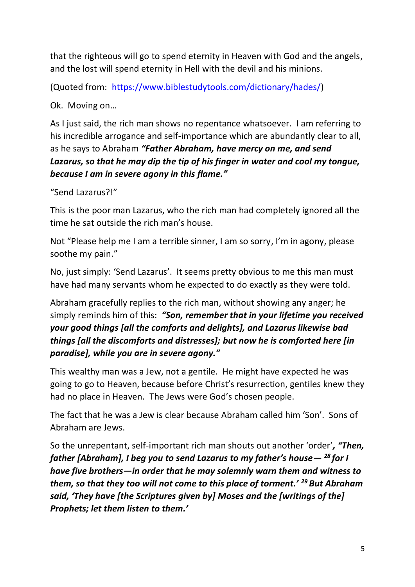that the righteous will go to spend eternity in Heaven with God and the angels, and the lost will spend eternity in Hell with the devil and his minions.

(Quoted from: [https://www.biblestudytools.com/dictionary/hades/\)](https://www.biblestudytools.com/dictionary/hades/)

Ok. Moving on…

As I just said, the rich man shows no repentance whatsoever. I am referring to his incredible arrogance and self-importance which are abundantly clear to all, as he says to Abraham *"Father Abraham, have mercy on me, and send Lazarus, so that he may dip the tip of his finger in water and cool my tongue, because I am in severe agony in this flame."*

"Send Lazarus?!"

This is the poor man Lazarus, who the rich man had completely ignored all the time he sat outside the rich man's house.

Not "Please help me I am a terrible sinner, I am so sorry, I'm in agony, please soothe my pain."

No, just simply: 'Send Lazarus'. It seems pretty obvious to me this man must have had many servants whom he expected to do exactly as they were told.

Abraham gracefully replies to the rich man, without showing any anger; he simply reminds him of this: *"Son, remember that in your lifetime you received your good things [all the comforts and delights], and Lazarus likewise bad things [all the discomforts and distresses]; but now he is comforted here [in paradise], while you are in severe agony."*

This wealthy man was a Jew, not a gentile. He might have expected he was going to go to Heaven, because before Christ's resurrection, gentiles knew they had no place in Heaven. The Jews were God's chosen people.

The fact that he was a Jew is clear because Abraham called him 'Son'. Sons of Abraham are Jews.

So the unrepentant, self-important rich man shouts out another 'order'*, "Then, father [Abraham], I beg you to send Lazarus to my father's house— <sup>28</sup> for I have five brothers—in order that he may solemnly warn them and witness to them, so that they too will not come to this place of torment.' <sup>29</sup> But Abraham said, 'They have [the Scriptures given by] Moses and the [writings of the] Prophets; let them listen to them.'*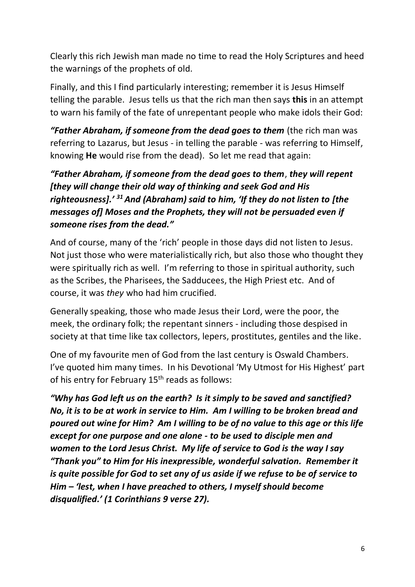Clearly this rich Jewish man made no time to read the Holy Scriptures and heed the warnings of the prophets of old.

Finally, and this I find particularly interesting; remember it is Jesus Himself telling the parable. Jesus tells us that the rich man then says **this** in an attempt to warn his family of the fate of unrepentant people who make idols their God:

**"Father Abraham, if someone from the dead goes to them** (the rich man was referring to Lazarus, but Jesus - in telling the parable - was referring to Himself, knowing **He** would rise from the dead). So let me read that again:

## *"Father Abraham, if someone from the dead goes to them*, *they will repent [they will change their old way of thinking and seek God and His righteousness].' <sup>31</sup>And (Abraham) said to him, 'If they do not listen to [the messages of] Moses and the Prophets, they will not be persuaded even if someone rises from the dead."*

And of course, many of the 'rich' people in those days did not listen to Jesus. Not just those who were materialistically rich, but also those who thought they were spiritually rich as well. I'm referring to those in spiritual authority, such as the Scribes, the Pharisees, the Sadducees, the High Priest etc. And of course, it was *they* who had him crucified.

Generally speaking, those who made Jesus their Lord, were the poor, the meek, the ordinary folk; the repentant sinners - including those despised in society at that time like tax collectors, lepers, prostitutes, gentiles and the like.

One of my favourite men of God from the last century is Oswald Chambers. I've quoted him many times. In his Devotional 'My Utmost for His Highest' part of his entry for February 15<sup>th</sup> reads as follows:

*"Why has God left us on the earth? Is it simply to be saved and sanctified? No, it is to be at work in service to Him. Am I willing to be broken bread and poured out wine for Him? Am I willing to be of no value to this age or this life except for one purpose and one alone - to be used to disciple men and women to the Lord Jesus Christ. My life of service to God is the way I say "Thank you" to Him for His inexpressible, wonderful salvation. Remember it is quite possible for God to set any of us aside if we refuse to be of service to Him – 'lest, when I have preached to others, I myself should become disqualified.' (1 Corinthians 9 verse 27).*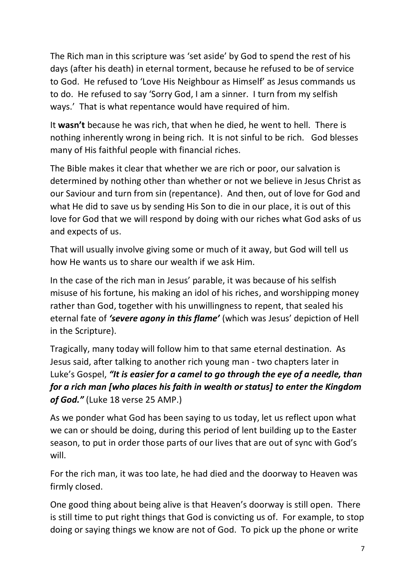The Rich man in this scripture was 'set aside' by God to spend the rest of his days (after his death) in eternal torment, because he refused to be of service to God. He refused to 'Love His Neighbour as Himself' as Jesus commands us to do. He refused to say 'Sorry God, I am a sinner. I turn from my selfish ways.' That is what repentance would have required of him.

It **wasn't** because he was rich, that when he died, he went to hell. There is nothing inherently wrong in being rich. It is not sinful to be rich. God blesses many of His faithful people with financial riches.

The Bible makes it clear that whether we are rich or poor, our salvation is determined by nothing other than whether or not we believe in Jesus Christ as our Saviour and turn from sin (repentance). And then, out of love for God and what He did to save us by sending His Son to die in our place, it is out of this love for God that we will respond by doing with our riches what God asks of us and expects of us.

That will usually involve giving some or much of it away, but God will tell us how He wants us to share our wealth if we ask Him.

In the case of the rich man in Jesus' parable, it was because of his selfish misuse of his fortune, his making an idol of his riches, and worshipping money rather than God, together with his unwillingness to repent, that sealed his eternal fate of *'severe agony in this flame'* (which was Jesus' depiction of Hell in the Scripture).

Tragically, many today will follow him to that same eternal destination. As Jesus said, after talking to another rich young man - two chapters later in Luke's Gospel, *"It is easier for a camel to go through the eye of a needle, than for a rich man [who places his faith in wealth or status] to enter the Kingdom of God."* (Luke 18 verse 25 AMP.)

As we ponder what God has been saying to us today, let us reflect upon what we can or should be doing, during this period of lent building up to the Easter season, to put in order those parts of our lives that are out of sync with God's will.

For the rich man, it was too late, he had died and the doorway to Heaven was firmly closed.

One good thing about being alive is that Heaven's doorway is still open. There is still time to put right things that God is convicting us of. For example, to stop doing or saying things we know are not of God. To pick up the phone or write